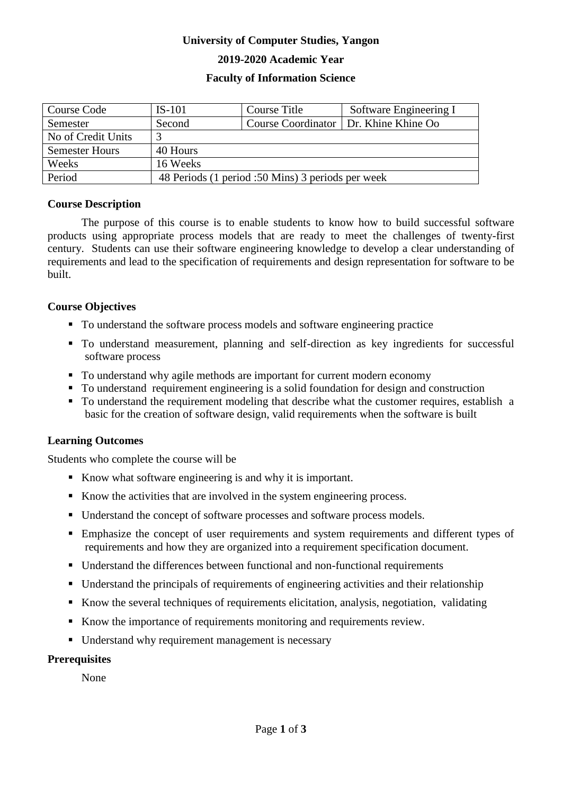# **University of Computer Studies, Yangon**

# **2019-2020 Academic Year**

# **Faculty of Information Science**

| Course Code           | $IS-101$                                          | Course Title | Software Engineering I                  |  |
|-----------------------|---------------------------------------------------|--------------|-----------------------------------------|--|
| Semester              | Second                                            |              | Course Coordinator   Dr. Khine Khine Oo |  |
| No of Credit Units    |                                                   |              |                                         |  |
| <b>Semester Hours</b> | 40 Hours                                          |              |                                         |  |
| Weeks                 | 16 Weeks                                          |              |                                         |  |
| Period                | 48 Periods (1 period :50 Mins) 3 periods per week |              |                                         |  |

#### **Course Description**

The purpose of this course is to enable students to know how to build successful software products using appropriate process models that are ready to meet the challenges of twenty-first century. Students can use their software engineering knowledge to develop a clear understanding of requirements and lead to the specification of requirements and design representation for software to be built.

# **Course Objectives**

- To understand the software process models and software engineering practice
- To understand measurement, planning and self-direction as key ingredients for successful software process
- To understand why agile methods are important for current modern economy
- To understand requirement engineering is a solid foundation for design and construction
- To understand the requirement modeling that describe what the customer requires, establish a basic for the creation of software design, valid requirements when the software is built

# **Learning Outcomes**

Students who complete the course will be

- Know what software engineering is and why it is important.
- Know the activities that are involved in the system engineering process.
- Understand the concept of software processes and software process models.
- Emphasize the concept of user requirements and system requirements and different types of requirements and how they are organized into a requirement specification document.
- Understand the differences between functional and non-functional requirements
- Understand the principals of requirements of engineering activities and their relationship
- Know the several techniques of requirements elicitation, analysis, negotiation, validating
- Know the importance of requirements monitoring and requirements review.
- Understand why requirement management is necessary

#### **Prerequisites**

None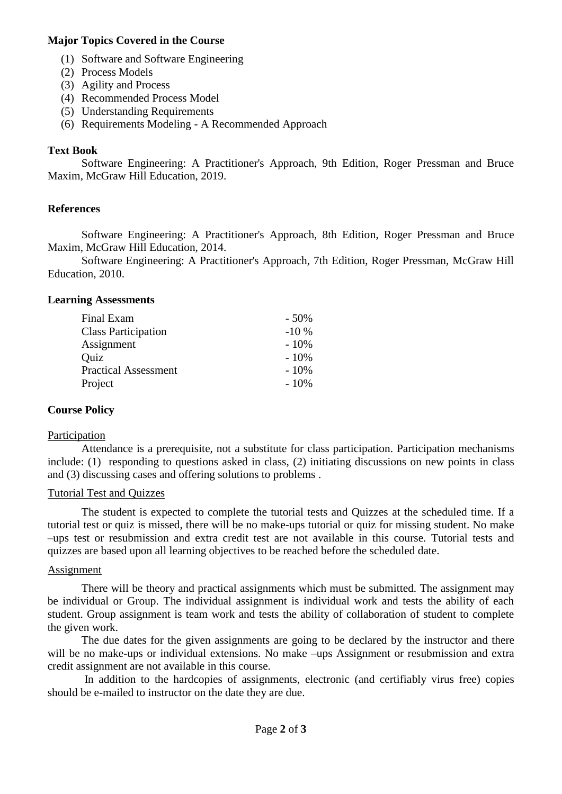# **Major Topics Covered in the Course**

- (1) Software and Software Engineering
- (2) Process Models
- (3) Agility and Process
- (4) Recommended Process Model
- (5) Understanding Requirements
- (6) Requirements Modeling A Recommended Approach

# **Text Book**

Software Engineering: A Practitioner's Approach, 9th Edition, Roger Pressman and Bruce Maxim, McGraw Hill Education, 2019.

# **References**

Software Engineering: A Practitioner's Approach, 8th Edition, Roger Pressman and Bruce Maxim, McGraw Hill Education, 2014.

Software Engineering: A Practitioner's Approach, 7th Edition, Roger Pressman, McGraw Hill Education, 2010.

#### **Learning Assessments**

| $-50%$ |
|--------|
| $-10%$ |
| $-10%$ |
| $-10%$ |
| $-10%$ |
| $-10%$ |
|        |

#### **Course Policy**

#### Participation

Attendance is a prerequisite, not a substitute for class participation. Participation mechanisms include: (1) responding to questions asked in class, (2) initiating discussions on new points in class and (3) discussing cases and offering solutions to problems .

#### Tutorial Test and Quizzes

The student is expected to complete the tutorial tests and Quizzes at the scheduled time. If a tutorial test or quiz is missed, there will be no make-ups tutorial or quiz for missing student. No make –ups test or resubmission and extra credit test are not available in this course. Tutorial tests and quizzes are based upon all learning objectives to be reached before the scheduled date.

#### **Assignment**

There will be theory and practical assignments which must be submitted. The assignment may be individual or Group. The individual assignment is individual work and tests the ability of each student. Group assignment is team work and tests the ability of collaboration of student to complete the given work.

The due dates for the given assignments are going to be declared by the instructor and there will be no make-ups or individual extensions. No make –ups Assignment or resubmission and extra credit assignment are not available in this course.

In addition to the hardcopies of assignments, electronic (and certifiably virus free) copies should be e-mailed to instructor on the date they are due.